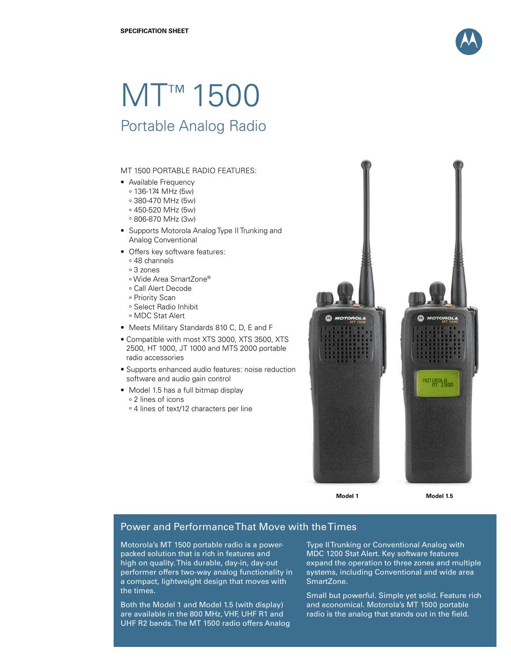

# MT<sup>™</sup> 1500

# Portable Analog Radio

### MT 1500 PORTABLE RADIO FEATURES:

- Available Frequency
	- ° 136-174 MHz (5w)
	- ° 380-470 MHz (5w)
	- ° 450-520 MHz (5w)
	- ° 806-870 MHz (3w)
- Supports Motorola Analog Type II Trunking and Analog Conventional
- Offers key software features:
	- ° 48 channels
	- ° 3 zones
	- ° Wide Area SmartZone®
	- ° Call Alert Decode
	- ° Priority Scan
	- ° Select Radio Inhibit
	- ° MDC Stat Alert
- Meets Military Standards 810 C, D, E and F
- Compatible with most XTS 3000, XTS 3500, XTS 2500, HT 1000, JT 1000 and MTS 2000 portable radio accessories
- Supports enhanced audio features: noise reduction software and audio gain control
- Model 1.5 has a full bitmap display ° 2 lines of icons
	- ° 4 lines of text/12 characters per line



**Model 1 Model 1.5**

# Power and Performance That Move with the Times

Motorola's MT 1500 portable radio is a powerpacked solution that is rich in features and high on quality. This durable, day-in, day-out performer offers two-way analog functionality in a compact, lightweight design that moves with the times.

Both the Model 1 and Model 1.5 (with display) are available in the 800 MHz, VHF, UHF R1 and UHF R2 bands. The MT 1500 radio offers Analog Type II Trunking or Conventional Analog with MDC 1200 Stat Alert. Key software features expand the operation to three zones and multiple systems, including Conventional and wide area SmartZone.

Small but powerful. Simple yet solid. Feature rich and economical. Motorola's MT 1500 portable radio is the analog that stands out in the field.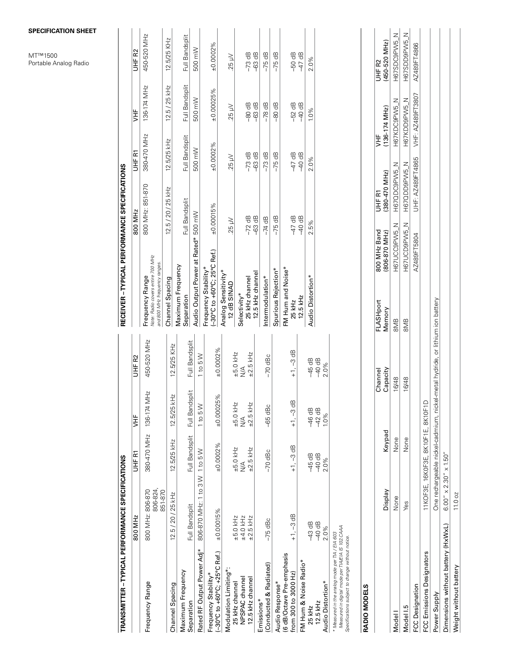|                                                                                                                                                         |                                                  |                                           |                                            |                                                                               |                                                                                       |                               |                           |                         |                      | <b>ICATION SHEET</b><br>00<br><b>Analog Radio</b> |
|---------------------------------------------------------------------------------------------------------------------------------------------------------|--------------------------------------------------|-------------------------------------------|--------------------------------------------|-------------------------------------------------------------------------------|---------------------------------------------------------------------------------------|-------------------------------|---------------------------|-------------------------|----------------------|---------------------------------------------------|
| TRANSMITTER - TYPICAL PERFORMANCE SPECIFICATIONS                                                                                                        |                                                  |                                           |                                            |                                                                               | RECEIVER - TYPICAL PERFORMANCE SPECIFICATIONS                                         |                               |                           |                         |                      |                                                   |
|                                                                                                                                                         | 800 MHz                                          | 군<br>노                                    | Ξ                                          | UHF R2                                                                        |                                                                                       | 800 MHz                       |                           | UHF RT                  | <b>HF</b>            | UHF <sub>R2</sub>                                 |
| Frequency Range                                                                                                                                         | 806-824,<br>800 MHz: 806-870<br>851-870          | 380-470 MHz                               | $\pm$<br>136-174 M                         | 450-520 MHz                                                                   | Note: Radio covers entire 700 MHz<br>and 800 MHz frequency ranges.<br>Frequency Range |                               | 800 MHz: 851-870          | 380-470 MHz             | 136-174 MHz          | 450-520 MHz                                       |
| Channel Spacing                                                                                                                                         | $12.5 / 20 / 25$ kHz                             | 12.5/25 kHz                               | 보<br>$12.5/25$ k <sup><math>+</math></sup> | 12.5/25 KHz                                                                   | Channel Spacing                                                                       | 12.5 / 20 / 25 kHz            |                           | 12.5/25 KHz             | 12.5 / 25 kHz        | 12.5/25 KHz                                       |
| Maximum Frequency                                                                                                                                       |                                                  |                                           |                                            |                                                                               | Maximum Frequency<br>Separation                                                       | Full Bandsplit                |                           | Full Bandsplit          | Full Bandsplit       | Full Bandsplit                                    |
| Rated RF Output Power Adj*<br>Separation                                                                                                                | 806-870 MHz: 1 to 3 W 1 to 5 W<br>Full Bandsplit | Full Bandsplit                            | Full Bandsplit<br>1 to 5 W                 | Full Bandsplit<br>1 to 5 W                                                    | Audio Output Power at Rated* 500 mW                                                   |                               |                           | 500 mW                  | 500 mW               | 500 mW                                            |
| (-30°C to +60°C; +25°C Ref.)<br>Frequency Stability*                                                                                                    | ±0.00015%                                        | ±0.0002%                                  | 8 <sup>o</sup><br>±0.00025                 | ±0.0002%                                                                      | (-30°C to +60°C; 25°C Ref.)<br>Frequency Stability*                                   | $+0.00015%$                   |                           | ±0.0002%                | ±0.00025%            | ±0.0002%                                          |
| Modulation Limiting*:                                                                                                                                   |                                                  |                                           |                                            |                                                                               | Analog Sensitivity*<br>12 dB SINAD                                                    | Vh 52                         |                           | Vu 52                   | Vu 52                | Vu 52                                             |
| NPSPAC channel<br>12.5 kHz channel<br>25 kHz channel                                                                                                    | ±4.0 kHz<br>$±5.0$ kHz<br>$\pm 2.5$ kHz          | $±5.0$ kHz<br>$±2.5$ kHz<br>$\frac{4}{2}$ | $±5.0$ kHz<br>$±2.5$ kHz<br>$\frac{4}{2}$  | $±5.0$ kHz<br>$±2.5$ kHz<br>$\frac{4}{2}$                                     | 25 kHz channel<br>Selectivity*                                                        | $-72$ dB<br>$-63$ dB          |                           | $-73$ dB<br>$-63$ dB    | $-80$ dB             | $-73$ dB                                          |
| (Conducted & Radiated)<br>Emissions*                                                                                                                    | $-75$ dBc                                        | $-70$ dBc                                 | -65 dBc                                    | $-70$ dBc                                                                     | 12.5 kHz channel<br>Intermodulation*                                                  | $-74$ dB                      |                           | $-73$ dB                | $-63$ dB<br>$-78$ dB | $-63$ dB<br>$-75$ dB                              |
| Audio Response*                                                                                                                                         |                                                  |                                           |                                            |                                                                               | Spurious Rejection*                                                                   | $-75$ dB                      |                           | $-75$ dB                | $-80$ dB             | $-75$ dB                                          |
| (6 dB/Octave Pre-emphasis<br>from 300 to 3000 Hz)                                                                                                       | $+1, -3$ dB                                      | $+1, -3$ dB                               | $+1, -3$ dB                                | $+1, -3$ dB                                                                   | FM Hum and Noise*<br>25 kHz                                                           | $-47$ dB<br>$-40$ dB          |                           | $-47$ dB<br>$-40$ dB    | $-52$ dB<br>$-40$ dB | $-50$ dB                                          |
| FM Hum & Noise Radio*                                                                                                                                   |                                                  |                                           |                                            |                                                                               | 12.5 kHz                                                                              |                               |                           |                         |                      | $-47$ dB                                          |
| Audio Distortion*<br>12.5 kHz<br>25 kHz                                                                                                                 | $-43$ dB<br>$-40$ dB<br>2.0%                     | $-45$ dB<br>$-40$ dB<br>2.0%              | $-46$ dB<br>$-42$ dB<br>1.0%               | $-45$ dB<br>$-40$ dB<br>2.0%                                                  | Audio Distortion*                                                                     | 2.5%                          | 2.0%                      |                         | 1.0%                 | 2.0%                                              |
| Measured in digital mode per TIA/EIA IS 102.CAAA<br>* Measured in the analog mode per TIA / EIA 603<br>Specifications subject to change without notice. |                                                  |                                           |                                            |                                                                               |                                                                                       |                               |                           |                         |                      |                                                   |
| RADIO MODELS                                                                                                                                            |                                                  |                                           |                                            |                                                                               |                                                                                       |                               |                           |                         |                      |                                                   |
|                                                                                                                                                         | <b>Display</b>                                   | Keypad                                    |                                            | Capacity<br>Channel                                                           | FLASHport<br>Memory                                                                   | 800 MHz Band<br>(806-870 MHz) | $(380-470$ MHz)<br>UHF RT | $(136 - 174$ MHz)<br>ΨF |                      | (450-520 MHz)<br>UHF R2                           |
| Model I                                                                                                                                                 | None                                             | None                                      |                                            | 16/48                                                                         | <b>SMB</b>                                                                            | H67UCC9PW5_N                  | H67QDC9PW5_N              |                         | H67KDC9PW5_N         | H67SDC9PW5_N                                      |
| Model I.5                                                                                                                                               | Yes                                              | None                                      |                                            | 16/48                                                                         | <b>SMB</b>                                                                            | H67UCD9PW5_N                  | H67QDD9PW5_N              |                         | H67KDD9PW5_N         | H67SDD9PW5_N                                      |
| FCC Designation                                                                                                                                         |                                                  |                                           |                                            |                                                                               |                                                                                       | AZ489FT5804                   | UHF: AZ489FT4865          |                         | VHF: AZ489FT3807     | AZ489FT4866                                       |
| FCC Emissions Designators                                                                                                                               |                                                  | 11KOF3E, 16K0F3E, 8K10F1E, 8K10F1D        |                                            |                                                                               |                                                                                       |                               |                           |                         |                      |                                                   |
| Power Supply                                                                                                                                            |                                                  |                                           |                                            | One rechargeable nickel-cadmium, nickel-metal hydride, or lithium ion battery |                                                                                       |                               |                           |                         |                      |                                                   |
| Dimensions without battery (HxWxL)                                                                                                                      | $6.00'' \times 2.30'' \times 1.50''$             |                                           |                                            |                                                                               |                                                                                       |                               |                           |                         |                      |                                                   |
| Weight without battery                                                                                                                                  | 11.0 oz                                          |                                           |                                            |                                                                               |                                                                                       |                               |                           |                         |                      |                                                   |

#### **Specification sheet**

 $MTTM15$ Portable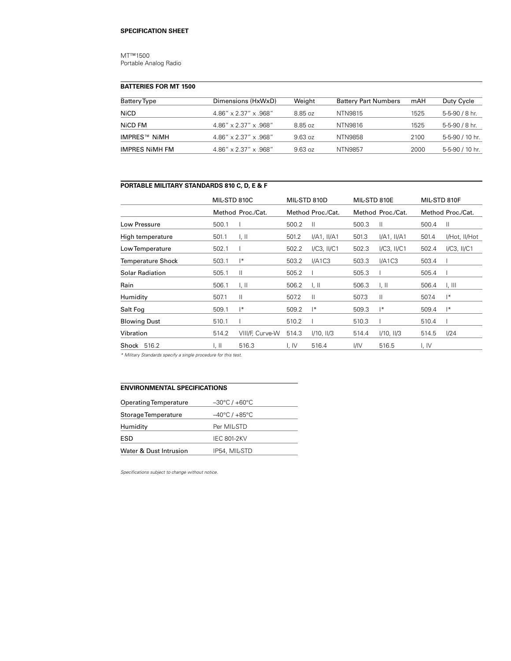#### MT™1500 Portable Analog Radio

#### **batteries for MT 1500**

| Battery Type   | Dimensions (HxWxD)                   | Weight  | <b>Battery Part Numbers</b> | mAH  | Duty Cycle      |
|----------------|--------------------------------------|---------|-----------------------------|------|-----------------|
| NiCD           | $4.86'' \times 2.37'' \times .968''$ | 8.85 oz | NTN9815                     | 1525 | 5-5-90 / 8 hr.  |
| NiCD FM        | $4.86'' \times 2.37'' \times .968''$ | 8.85 oz | NTN9816                     | 1525 | 5-5-90 / 8 hr.  |
| IMPRES™ NiMH   | $4.86'' \times 2.37'' \times .968''$ | 9.63oz  | NTN9858                     | 2100 | 5-5-90 / 10 hr. |
| IMPRES NIMH FM | $4.86'' \times 2.37'' \times .968''$ | 9.63oz  | NTN9857                     | 2000 | 5-5-90 / 10 hr. |

## **Portable Military Standards 810 C, D, E & F**

|                     | MIL-STD 810C |                   | MIL-STD 810D |                   | MIL-STD 810E |                   | MIL-STD 810F |                   |
|---------------------|--------------|-------------------|--------------|-------------------|--------------|-------------------|--------------|-------------------|
|                     |              | Method Proc./Cat. |              | Method Proc./Cat. |              | Method Proc./Cat. |              | Method Proc./Cat. |
| Low Pressure        | 500.1        |                   | 500.2        | Ш                 | 500.3        | Ш                 | 500.4        | $\mathbf{H}$      |
| High temperature    | 501.1        | 1, II             | 501.2        | I/A1, II/A1       | 501.3        | I/A1, II/A1       | 501.4        | I/Hot, II/Hot     |
| Low Temperature     | 502.1        |                   | 502.2        | $I/C3$ , $II/C1$  | 502.3        | $I/C3$ , $II/C1$  | 502.4        | $I/C3$ , $II/C1$  |
| Temperature Shock   | 503.1        | $ *$              | 503.2        | I/A1C3            | 503.3        | I/A1C3            | 503.4        |                   |
| Solar Radiation     | 505.1        | Ш                 | 505.2        |                   | 505.3        |                   | 505.4        |                   |
| Rain                | 506.1        | 1, II             | 506.2        | 1, II             | 506.3        | 1, II             | 506.4        | 1, III            |
| Humidity            | 507.1        | Ш                 | 507.2        | $\mathbf{  }$     | 507.3        | Ш                 | 507.4        | $ *$              |
| Salt Fog            | 509.1        | $ *$              | 509.2        | $\mathsf{I}^*$    | 509.3        | $ *$              | 509.4        | $ *$              |
| <b>Blowing Dust</b> | 510.1        |                   | 510.2        |                   | 510.3        |                   | 510.4        |                   |
| Vibration           | 514.2        | VIII/F, Curve-W   | 514.3        | I/10, II/3        | 514.4        | I/10, II/3        | 514.5        | 1/24              |
| Shock 516.2         | I, II        | 516.3             | I, IV        | 516.4             | UV           | 516.5             | I, IV        |                   |
|                     |              |                   |              |                   |              |                   |              |                   |

*\* Military Standards specify a single procedure for this test.*

#### **environmental specifications**

| <b>Operating Temperature</b> | $-30^{\circ}$ C / +60 $^{\circ}$ C |  |  |  |  |  |
|------------------------------|------------------------------------|--|--|--|--|--|
| Storage Temperature          | $-40^{\circ}$ C / +85 $^{\circ}$ C |  |  |  |  |  |
| Humidity                     | Per MIL-STD                        |  |  |  |  |  |
| ESD                          | <b>IEC 801-2KV</b>                 |  |  |  |  |  |
| Water & Dust Intrusion       | IP54, MIL-STD                      |  |  |  |  |  |

*Specifications subject to change without notice.*